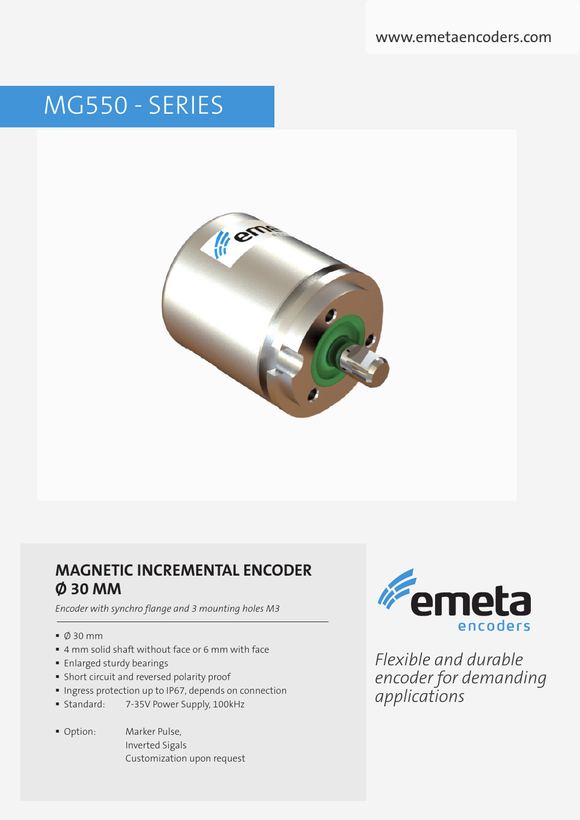www.emetaencoders.com

# MG550 - SERIES



### **MAGNETIC INCREMENTAL ENCODER Ø 30 MM**

*Encoder with synchro flange and 3 mounting holes M3*

- $\bullet$  0 30 mm
- 4 mm solid shaft without face or 6 mm with face
- **Enlarged sturdy bearings**
- Short circuit and reversed polarity proof
- **Ingress protection up to IP67, depends on connection**
- **Standard:** 7-35V Power Supply, 100kHz
- 
- Option: Marker Pulse, Inverted Sigals Customization upon request



*Flexible and durable encoder for demanding applications*